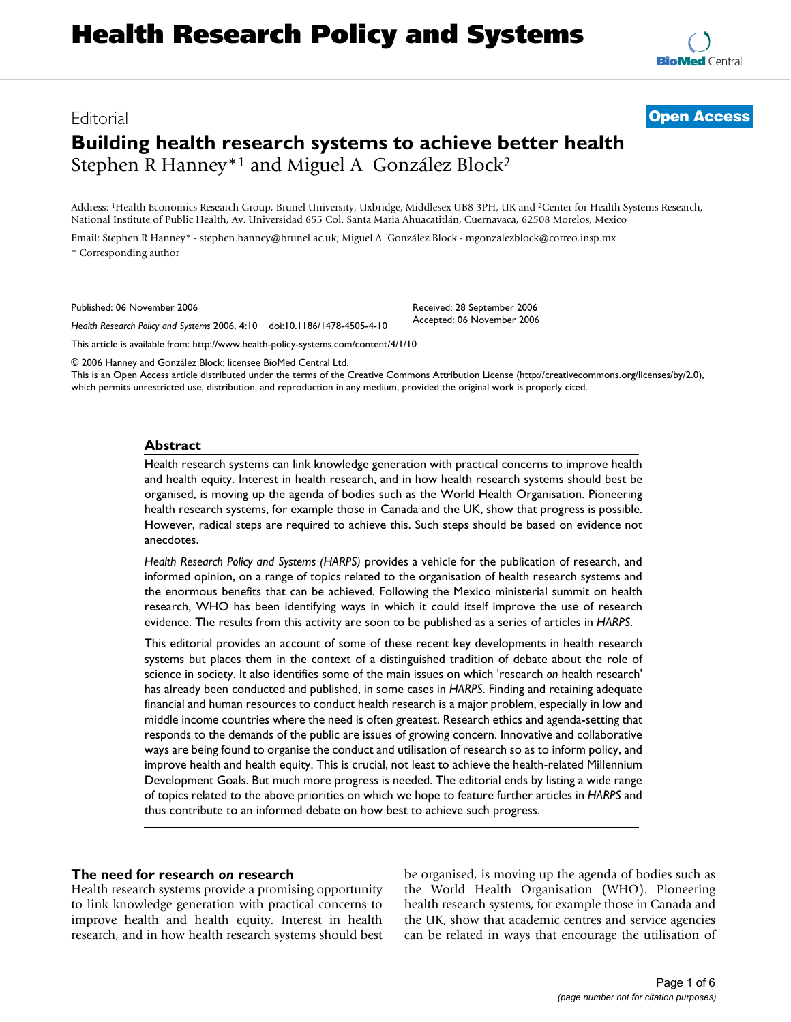# Editorial **[Open Access](http://www.biomedcentral.com/info/about/charter/) Building health research systems to achieve better health** Stephen R Hanney\*1 and Miguel A González Block2

Address: 1Health Economics Research Group, Brunel University, Uxbridge, Middlesex UB8 3PH, UK and 2Center for Health Systems Research, National Institute of Public Health, Av. Universidad 655 Col. Santa Maria Ahuacatitlán, Cuernavaca, 62508 Morelos, Mexico

Email: Stephen R Hanney\* - stephen.hanney@brunel.ac.uk; Miguel A González Block - mgonzalezblock@correo.insp.mx \* Corresponding author

Published: 06 November 2006

*Health Research Policy and Systems* 2006, **4**:10 doi:10.1186/1478-4505-4-10

[This article is available from: http://www.health-policy-systems.com/content/4/1/10](http://www.health-policy-systems.com/content/4/1/10)

© 2006 Hanney and González Block; licensee BioMed Central Ltd.

This is an Open Access article distributed under the terms of the Creative Commons Attribution License [\(http://creativecommons.org/licenses/by/2.0\)](http://creativecommons.org/licenses/by/2.0), which permits unrestricted use, distribution, and reproduction in any medium, provided the original work is properly cited.

Received: 28 September 2006 Accepted: 06 November 2006

## **Abstract**

Health research systems can link knowledge generation with practical concerns to improve health and health equity. Interest in health research, and in how health research systems should best be organised, is moving up the agenda of bodies such as the World Health Organisation. Pioneering health research systems, for example those in Canada and the UK, show that progress is possible. However, radical steps are required to achieve this. Such steps should be based on evidence not anecdotes.

*Health Research Policy and Systems (HARPS)* provides a vehicle for the publication of research, and informed opinion, on a range of topics related to the organisation of health research systems and the enormous benefits that can be achieved. Following the Mexico ministerial summit on health research, WHO has been identifying ways in which it could itself improve the use of research evidence. The results from this activity are soon to be published as a series of articles in *HARPS*.

This editorial provides an account of some of these recent key developments in health research systems but places them in the context of a distinguished tradition of debate about the role of science in society. It also identifies some of the main issues on which 'research *on* health research' has already been conducted and published, in some cases in *HARPS*. Finding and retaining adequate financial and human resources to conduct health research is a major problem, especially in low and middle income countries where the need is often greatest. Research ethics and agenda-setting that responds to the demands of the public are issues of growing concern. Innovative and collaborative ways are being found to organise the conduct and utilisation of research so as to inform policy, and improve health and health equity. This is crucial, not least to achieve the health-related Millennium Development Goals. But much more progress is needed. The editorial ends by listing a wide range of topics related to the above priorities on which we hope to feature further articles in *HARPS* and thus contribute to an informed debate on how best to achieve such progress.

## **The need for research** *on* **research**

Health research systems provide a promising opportunity to link knowledge generation with practical concerns to improve health and health equity. Interest in health research, and in how health research systems should best be organised, is moving up the agenda of bodies such as the World Health Organisation (WHO). Pioneering health research systems, for example those in Canada and the UK, show that academic centres and service agencies can be related in ways that encourage the utilisation of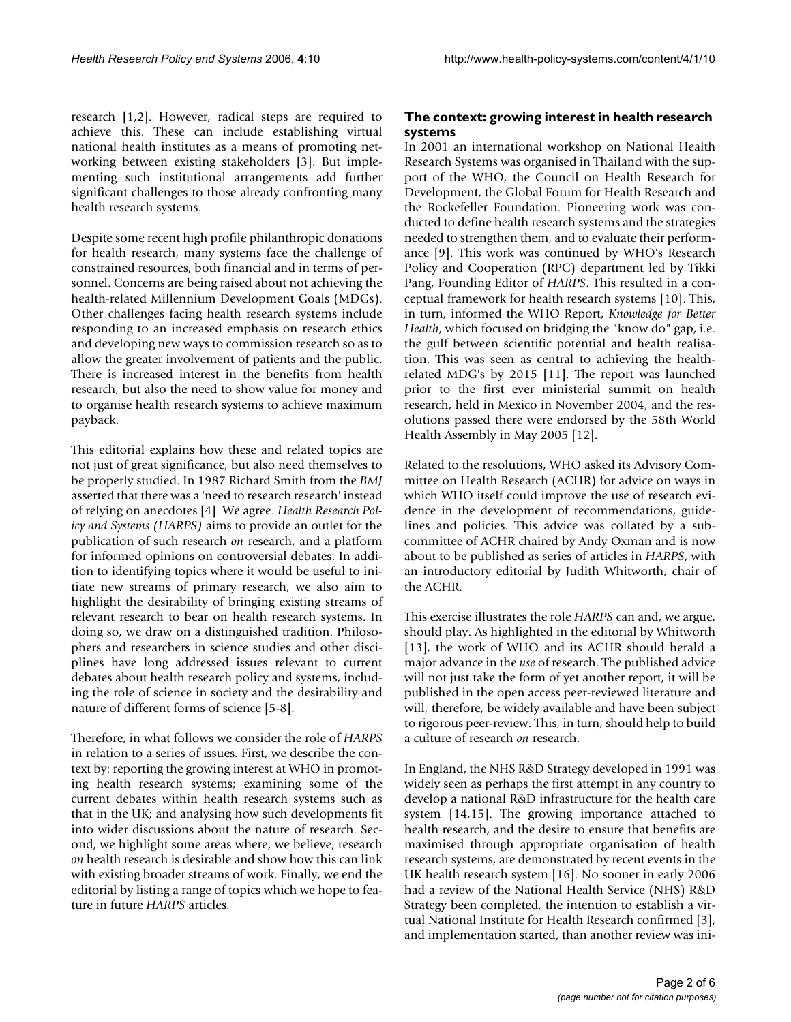research [1,2]. However, radical steps are required to achieve this. These can include establishing virtual national health institutes as a means of promoting networking between existing stakeholders [3]. But implementing such institutional arrangements add further significant challenges to those already confronting many health research systems.

Despite some recent high profile philanthropic donations for health research, many systems face the challenge of constrained resources, both financial and in terms of personnel. Concerns are being raised about not achieving the health-related Millennium Development Goals (MDGs). Other challenges facing health research systems include responding to an increased emphasis on research ethics and developing new ways to commission research so as to allow the greater involvement of patients and the public. There is increased interest in the benefits from health research, but also the need to show value for money and to organise health research systems to achieve maximum payback.

This editorial explains how these and related topics are not just of great significance, but also need themselves to be properly studied. In 1987 Richard Smith from the *BMJ* asserted that there was a 'need to research research' instead of relying on anecdotes [4]. We agree. *Health Research Policy and Systems (HARPS)* aims to provide an outlet for the publication of such research *on* research, and a platform for informed opinions on controversial debates. In addition to identifying topics where it would be useful to initiate new streams of primary research, we also aim to highlight the desirability of bringing existing streams of relevant research to bear on health research systems. In doing so, we draw on a distinguished tradition. Philosophers and researchers in science studies and other disciplines have long addressed issues relevant to current debates about health research policy and systems, including the role of science in society and the desirability and nature of different forms of science [5-8].

Therefore, in what follows we consider the role of *HARPS* in relation to a series of issues. First, we describe the context by: reporting the growing interest at WHO in promoting health research systems; examining some of the current debates within health research systems such as that in the UK; and analysing how such developments fit into wider discussions about the nature of research. Second, we highlight some areas where, we believe, research *on* health research is desirable and show how this can link with existing broader streams of work. Finally, we end the editorial by listing a range of topics which we hope to feature in future *HARPS* articles.

## **The context: growing interest in health research systems**

In 2001 an international workshop on National Health Research Systems was organised in Thailand with the support of the WHO, the Council on Health Research for Development, the Global Forum for Health Research and the Rockefeller Foundation. Pioneering work was conducted to define health research systems and the strategies needed to strengthen them, and to evaluate their performance [9]. This work was continued by WHO's Research Policy and Cooperation (RPC) department led by Tikki Pang, Founding Editor of *HARPS*. This resulted in a conceptual framework for health research systems [10]. This, in turn, informed the WHO Report, *Knowledge for Better Health*, which focused on bridging the "know do" gap, i.e. the gulf between scientific potential and health realisation. This was seen as central to achieving the healthrelated MDG's by 2015 [11]. The report was launched prior to the first ever ministerial summit on health research, held in Mexico in November 2004, and the resolutions passed there were endorsed by the 58th World Health Assembly in May 2005 [12].

Related to the resolutions, WHO asked its Advisory Committee on Health Research (ACHR) for advice on ways in which WHO itself could improve the use of research evidence in the development of recommendations, guidelines and policies. This advice was collated by a subcommittee of ACHR chaired by Andy Oxman and is now about to be published as series of articles in *HARPS*, with an introductory editorial by Judith Whitworth, chair of the ACHR.

This exercise illustrates the role *HARPS* can and, we argue, should play. As highlighted in the editorial by Whitworth [13], the work of WHO and its ACHR should herald a major advance in the *use* of research. The published advice will not just take the form of yet another report, it will be published in the open access peer-reviewed literature and will, therefore, be widely available and have been subject to rigorous peer-review. This, in turn, should help to build a culture of research *on* research.

In England, the NHS R&D Strategy developed in 1991 was widely seen as perhaps the first attempt in any country to develop a national R&D infrastructure for the health care system [14,15]. The growing importance attached to health research, and the desire to ensure that benefits are maximised through appropriate organisation of health research systems, are demonstrated by recent events in the UK health research system [16]. No sooner in early 2006 had a review of the National Health Service (NHS) R&D Strategy been completed, the intention to establish a virtual National Institute for Health Research confirmed [3], and implementation started, than another review was ini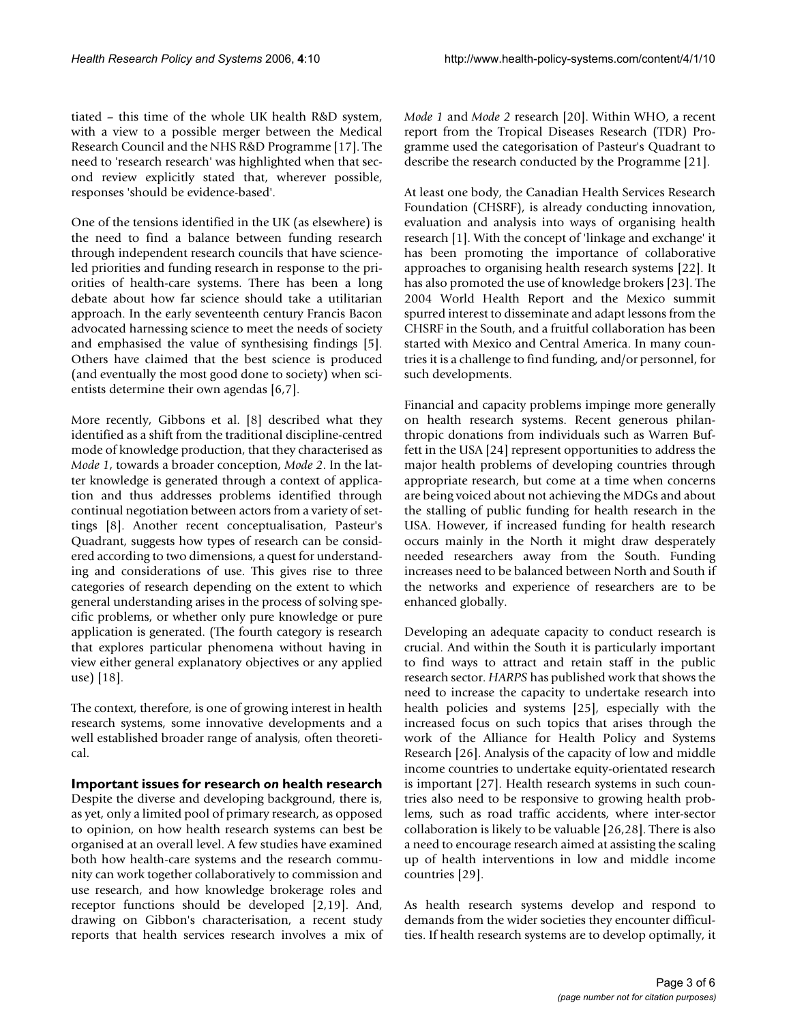tiated – this time of the whole UK health R&D system, with a view to a possible merger between the Medical Research Council and the NHS R&D Programme [17]. The need to 'research research' was highlighted when that second review explicitly stated that, wherever possible, responses 'should be evidence-based'.

One of the tensions identified in the UK (as elsewhere) is the need to find a balance between funding research through independent research councils that have scienceled priorities and funding research in response to the priorities of health-care systems. There has been a long debate about how far science should take a utilitarian approach. In the early seventeenth century Francis Bacon advocated harnessing science to meet the needs of society and emphasised the value of synthesising findings [5]. Others have claimed that the best science is produced (and eventually the most good done to society) when scientists determine their own agendas [6,7].

More recently, Gibbons et al. [8] described what they identified as a shift from the traditional discipline-centred mode of knowledge production, that they characterised as *Mode 1*, towards a broader conception, *Mode 2*. In the latter knowledge is generated through a context of application and thus addresses problems identified through continual negotiation between actors from a variety of settings [8]. Another recent conceptualisation, Pasteur's Quadrant, suggests how types of research can be considered according to two dimensions, a quest for understanding and considerations of use. This gives rise to three categories of research depending on the extent to which general understanding arises in the process of solving specific problems, or whether only pure knowledge or pure application is generated. (The fourth category is research that explores particular phenomena without having in view either general explanatory objectives or any applied use) [18].

The context, therefore, is one of growing interest in health research systems, some innovative developments and a well established broader range of analysis, often theoretical.

**Important issues for research** *on* **health research** Despite the diverse and developing background, there is, as yet, only a limited pool of primary research, as opposed to opinion, on how health research systems can best be organised at an overall level. A few studies have examined both how health-care systems and the research community can work together collaboratively to commission and use research, and how knowledge brokerage roles and receptor functions should be developed [2,19]. And, drawing on Gibbon's characterisation, a recent study reports that health services research involves a mix of *Mode 1* and *Mode 2* research [20]. Within WHO, a recent report from the Tropical Diseases Research (TDR) Programme used the categorisation of Pasteur's Quadrant to describe the research conducted by the Programme [21].

At least one body, the Canadian Health Services Research Foundation (CHSRF), is already conducting innovation, evaluation and analysis into ways of organising health research [1]. With the concept of 'linkage and exchange' it has been promoting the importance of collaborative approaches to organising health research systems [22]. It has also promoted the use of knowledge brokers [23]. The 2004 World Health Report and the Mexico summit spurred interest to disseminate and adapt lessons from the CHSRF in the South, and a fruitful collaboration has been started with Mexico and Central America. In many countries it is a challenge to find funding, and/or personnel, for such developments.

Financial and capacity problems impinge more generally on health research systems. Recent generous philanthropic donations from individuals such as Warren Buffett in the USA [24] represent opportunities to address the major health problems of developing countries through appropriate research, but come at a time when concerns are being voiced about not achieving the MDGs and about the stalling of public funding for health research in the USA. However, if increased funding for health research occurs mainly in the North it might draw desperately needed researchers away from the South. Funding increases need to be balanced between North and South if the networks and experience of researchers are to be enhanced globally.

Developing an adequate capacity to conduct research is crucial. And within the South it is particularly important to find ways to attract and retain staff in the public research sector. *HARPS* has published work that shows the need to increase the capacity to undertake research into health policies and systems [25], especially with the increased focus on such topics that arises through the work of the Alliance for Health Policy and Systems Research [26]. Analysis of the capacity of low and middle income countries to undertake equity-orientated research is important [27]. Health research systems in such countries also need to be responsive to growing health problems, such as road traffic accidents, where inter-sector collaboration is likely to be valuable [26,28]. There is also a need to encourage research aimed at assisting the scaling up of health interventions in low and middle income countries [29].

As health research systems develop and respond to demands from the wider societies they encounter difficulties. If health research systems are to develop optimally, it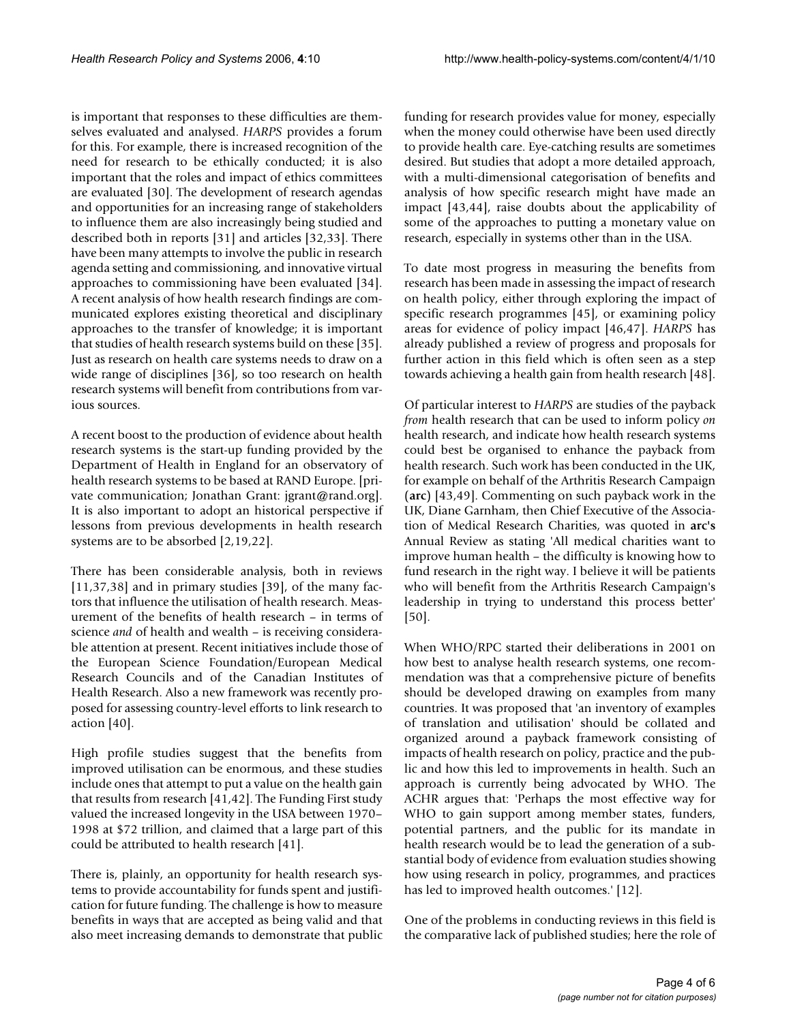is important that responses to these difficulties are themselves evaluated and analysed. *HARPS* provides a forum for this. For example, there is increased recognition of the need for research to be ethically conducted; it is also important that the roles and impact of ethics committees are evaluated [30]. The development of research agendas and opportunities for an increasing range of stakeholders to influence them are also increasingly being studied and described both in reports [31] and articles [32,33]. There have been many attempts to involve the public in research agenda setting and commissioning, and innovative virtual approaches to commissioning have been evaluated [34]. A recent analysis of how health research findings are communicated explores existing theoretical and disciplinary approaches to the transfer of knowledge; it is important that studies of health research systems build on these [35]. Just as research on health care systems needs to draw on a wide range of disciplines [36], so too research on health research systems will benefit from contributions from various sources.

A recent boost to the production of evidence about health research systems is the start-up funding provided by the Department of Health in England for an observatory of health research systems to be based at RAND Europe. [private communication; Jonathan Grant: jgrant@rand.org]. It is also important to adopt an historical perspective if lessons from previous developments in health research systems are to be absorbed [2,19,22].

There has been considerable analysis, both in reviews [11,37,38] and in primary studies [39], of the many factors that influence the utilisation of health research. Measurement of the benefits of health research – in terms of science *and* of health and wealth – is receiving considerable attention at present. Recent initiatives include those of the European Science Foundation/European Medical Research Councils and of the Canadian Institutes of Health Research. Also a new framework was recently proposed for assessing country-level efforts to link research to action [40].

High profile studies suggest that the benefits from improved utilisation can be enormous, and these studies include ones that attempt to put a value on the health gain that results from research [41,42]. The Funding First study valued the increased longevity in the USA between 1970– 1998 at \$72 trillion, and claimed that a large part of this could be attributed to health research [41].

There is, plainly, an opportunity for health research systems to provide accountability for funds spent and justification for future funding. The challenge is how to measure benefits in ways that are accepted as being valid and that also meet increasing demands to demonstrate that public funding for research provides value for money, especially when the money could otherwise have been used directly to provide health care. Eye-catching results are sometimes desired. But studies that adopt a more detailed approach, with a multi-dimensional categorisation of benefits and analysis of how specific research might have made an impact [43,44], raise doubts about the applicability of some of the approaches to putting a monetary value on research, especially in systems other than in the USA.

To date most progress in measuring the benefits from research has been made in assessing the impact of research on health policy, either through exploring the impact of specific research programmes [45], or examining policy areas for evidence of policy impact [46,47]. *HARPS* has already published a review of progress and proposals for further action in this field which is often seen as a step towards achieving a health gain from health research [48].

Of particular interest to *HARPS* are studies of the payback *from* health research that can be used to inform policy *on* health research, and indicate how health research systems could best be organised to enhance the payback from health research. Such work has been conducted in the UK, for example on behalf of the Arthritis Research Campaign (**arc**) [43,49]. Commenting on such payback work in the UK, Diane Garnham, then Chief Executive of the Association of Medical Research Charities, was quoted in **arc's** Annual Review as stating 'All medical charities want to improve human health – the difficulty is knowing how to fund research in the right way. I believe it will be patients who will benefit from the Arthritis Research Campaign's leadership in trying to understand this process better' [50].

When WHO/RPC started their deliberations in 2001 on how best to analyse health research systems, one recommendation was that a comprehensive picture of benefits should be developed drawing on examples from many countries. It was proposed that 'an inventory of examples of translation and utilisation' should be collated and organized around a payback framework consisting of impacts of health research on policy, practice and the public and how this led to improvements in health. Such an approach is currently being advocated by WHO. The ACHR argues that: 'Perhaps the most effective way for WHO to gain support among member states, funders, potential partners, and the public for its mandate in health research would be to lead the generation of a substantial body of evidence from evaluation studies showing how using research in policy, programmes, and practices has led to improved health outcomes.' [12].

One of the problems in conducting reviews in this field is the comparative lack of published studies; here the role of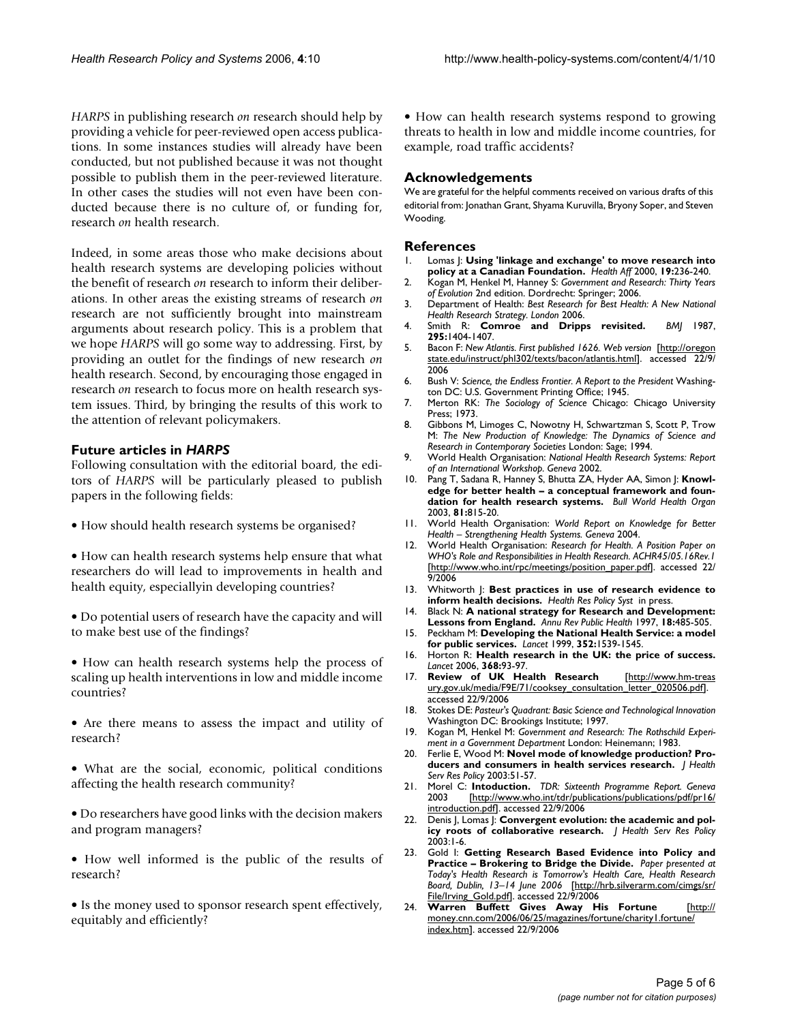*HARPS* in publishing research *on* research should help by providing a vehicle for peer-reviewed open access publications. In some instances studies will already have been conducted, but not published because it was not thought possible to publish them in the peer-reviewed literature. In other cases the studies will not even have been conducted because there is no culture of, or funding for, research *on* health research.

Indeed, in some areas those who make decisions about health research systems are developing policies without the benefit of research *on* research to inform their deliberations. In other areas the existing streams of research *on* research are not sufficiently brought into mainstream arguments about research policy. This is a problem that we hope *HARPS* will go some way to addressing. First, by providing an outlet for the findings of new research *on* health research. Second, by encouraging those engaged in research *on* research to focus more on health research system issues. Third, by bringing the results of this work to the attention of relevant policymakers.

## **Future articles in** *HARPS*

Following consultation with the editorial board, the editors of *HARPS* will be particularly pleased to publish papers in the following fields:

- How should health research systems be organised?
- How can health research systems help ensure that what researchers do will lead to improvements in health and health equity, especiallyin developing countries?

• Do potential users of research have the capacity and will to make best use of the findings?

• How can health research systems help the process of scaling up health interventions in low and middle income countries?

• Are there means to assess the impact and utility of research?

• What are the social, economic, political conditions affecting the health research community?

• Do researchers have good links with the decision makers and program managers?

• How well informed is the public of the results of research?

• Is the money used to sponsor research spent effectively, equitably and efficiently?

• How can health research systems respond to growing threats to health in low and middle income countries, for example, road traffic accidents?

## **Acknowledgements**

We are grateful for the helpful comments received on various drafts of this editorial from: Jonathan Grant, Shyama Kuruvilla, Bryony Soper, and Steven Wooding.

#### **References**

- 1. Lomas J: **Using 'linkage and exchange' to move research into policy at a Canadian Foundation.** *Health Aff* 2000, **19:**236-240.
- 2. Kogan M, Henkel M, Hanney S: *Government and Research: Thirty Years of Evolution* 2nd edition. Dordrecht: Springer; 2006.
- 3. Department of Health: *Best Research for Best Health: A New National Health Research Strategy. London* 2006.
- 4. Smith R: **[Comroe and Dripps revisited.](http://www.ncbi.nlm.nih.gov/entrez/query.fcgi?cmd=Retrieve&db=PubMed&dopt=Abstract&list_uids=3690250)** *BMJ* 1987, **295:**1404-1407.
- 5. Bacon F: *New Atlantis. First published 1626. Web version* [\[http://oregon](http://oregonstate.edu/instruct/phl302/texts/bacon/atlantis.html) [state.edu/instruct/phl302/texts/bacon/atlantis.html\]](http://oregonstate.edu/instruct/phl302/texts/bacon/atlantis.html). accessed 22/9/ 2006
- 6. Bush V: *Science, the Endless Frontier. A Report to the President* Washington DC: U.S. Government Printing Office; 1945.
- 7. Merton RK: *The Sociology of Science* Chicago: Chicago University Press; 1973.
- 8. Gibbons M, Limoges C, Nowotny H, Schwartzman S, Scott P, Trow M: *The New Production of Knowledge: The Dynamics of Science and Research in Contemporary Societies* London: Sage; 1994.
- 9. World Health Organisation: *National Health Research Systems: Report of an International Workshop. Geneva* 2002.
- 10. Pang T, Sadana R, Hanney S, Bhutta ZA, Hyder AA, Simon J: **[Knowl](http://www.ncbi.nlm.nih.gov/entrez/query.fcgi?cmd=Retrieve&db=PubMed&dopt=Abstract&list_uids=14758408)[edge for better health – a conceptual framework and foun](http://www.ncbi.nlm.nih.gov/entrez/query.fcgi?cmd=Retrieve&db=PubMed&dopt=Abstract&list_uids=14758408)[dation for health research systems.](http://www.ncbi.nlm.nih.gov/entrez/query.fcgi?cmd=Retrieve&db=PubMed&dopt=Abstract&list_uids=14758408)** *Bull World Health Organ* 2003, **81:**815-20.
- 11. World Health Organisation: *World Report on Knowledge for Better Health – Strengthening Health Systems. Geneva* 2004.
- 12. World Health Organisation: *Research for Health. A Position Paper on WHO's Role and Responsibilities in Health Research. ACHR45/05.16Rev.1* [[http://www.who.int/rpc/meetings/position\\_paper.pdf](http://www.who.int/rpc/meetings/position_paper.pdf)]. accessed 22/ 9/2006
- 13. Whitworth J: **Best practices in use of research evidence to inform health decisions.** *Health Res Policy Syst* in press.
- 14. Black N: **[A national strategy for Research and Development:](http://www.ncbi.nlm.nih.gov/entrez/query.fcgi?cmd=Retrieve&db=PubMed&dopt=Abstract&list_uids=9143728) [Lessons from England.](http://www.ncbi.nlm.nih.gov/entrez/query.fcgi?cmd=Retrieve&db=PubMed&dopt=Abstract&list_uids=9143728)** *Annu Rev Public Health* 1997, **18:**485-505.
- 15. Peckham M: **Developing the National Health Service: a model for public services.** *Lancet* 1999, **352:**1539-1545.
- 16. Horton R: **[Health research in the UK: the price of success.](http://www.ncbi.nlm.nih.gov/entrez/query.fcgi?cmd=Retrieve&db=PubMed&dopt=Abstract&list_uids=16829278)** *Lancet* 2006, **368:**93-97.
- 17. **Review of UK Health Research** [[http://www.hm-treas](http://www.hm-treasury.gov.uk/media/F9E/71/cooksey_consultation_letter_020506.pdf) [ury.gov.uk/media/F9E/71/cooksey\\_consultation\\_letter\\_020506.pdf](http://www.hm-treasury.gov.uk/media/F9E/71/cooksey_consultation_letter_020506.pdf)]. accessed 22/9/2006
- 18. Stokes DE: *Pasteur's Quadrant: Basic Science and Technological Innovation* Washington DC: Brookings Institute; 1997.
- 19. Kogan M, Henkel M: *Government and Research: The Rothschild Experiment in a Government Department* London: Heinemann; 1983.
- 20. Ferlie E, Wood M: **Novel mode of knowledge production? Producers and consumers in health services research.** *J Health Serv Res Policy* 2003:51-57.
- 21. Morel C: **Intoduction.** *TDR: Sixteenth Programme Report. Geneva* [[http://www.who.int/tdr/publications/publications/pdf/pr16/](http://www.who.int/tdr/publications/publications/pdf/pr16/introduction.pdf) [introduction.pdf](http://www.who.int/tdr/publications/publications/pdf/pr16/introduction.pdf)]. accessed 22/9/2006
- 22. Denis J, Lomas J: **Convergent evolution: the academic and policy roots of collaborative research.** *J Health Serv Res Policy* 2003:1-6.
- 23. Gold I: **Getting Research Based Evidence into Policy and Practice – Brokering to Bridge the Divide.** *Paper presented at Today's Health Research is Tomorrow's Health Care, Health Research Board, Dublin, 13–14 June 2006* [[http://hrb.silverarm.com/cimgs/sr/](http://hrb.silverarm.com/cimgs/sr/File/Irving_Gold.pdf) [File/Irving\\_Gold.pdf](http://hrb.silverarm.com/cimgs/sr/File/Irving_Gold.pdf)]. accessed 22/9/2006
- 24. **Warren Buffett Gives Away His Fortune** [\[http://](http://money.cnn.com/2006/06/25/magazines/fortune/charity1.fortune/index.htm) [money.cnn.com/2006/06/25/magazines/fortune/charity1.fortune/](http://money.cnn.com/2006/06/25/magazines/fortune/charity1.fortune/index.htm) [index.htm](http://money.cnn.com/2006/06/25/magazines/fortune/charity1.fortune/index.htm)]. accessed 22/9/2006